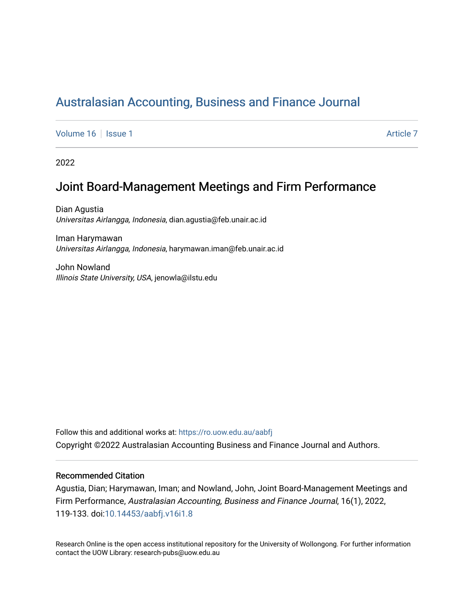# [Australasian Accounting, Business and Finance Journal](https://ro.uow.edu.au/aabfj)

[Volume 16](https://ro.uow.edu.au/aabfj/vol16) | [Issue 1](https://ro.uow.edu.au/aabfj/vol16/iss1) Article 7

2022

# Joint Board-Management Meetings and Firm Performance

Dian Agustia Universitas Airlangga, Indonesia, dian.agustia@feb.unair.ac.id

Iman Harymawan Universitas Airlangga, Indonesia, harymawan.iman@feb.unair.ac.id

John Nowland Illinois State University, USA, jenowla@ilstu.edu

Follow this and additional works at: [https://ro.uow.edu.au/aabfj](https://ro.uow.edu.au/aabfj?utm_source=ro.uow.edu.au%2Faabfj%2Fvol16%2Fiss1%2F7&utm_medium=PDF&utm_campaign=PDFCoverPages) Copyright ©2022 Australasian Accounting Business and Finance Journal and Authors.

#### Recommended Citation

Agustia, Dian; Harymawan, Iman; and Nowland, John, Joint Board-Management Meetings and Firm Performance, Australasian Accounting, Business and Finance Journal, 16(1), 2022, 119-133. doi:[10.14453/aabfj.v16i1.8](http://dx.doi.org/10.14453/aabfj.v16i1.8)

Research Online is the open access institutional repository for the University of Wollongong. For further information contact the UOW Library: research-pubs@uow.edu.au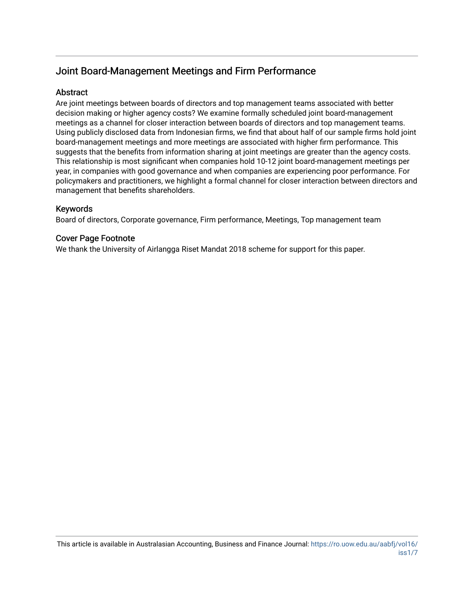## Joint Board-Management Meetings and Firm Performance

## **Abstract**

Are joint meetings between boards of directors and top management teams associated with better decision making or higher agency costs? We examine formally scheduled joint board-management meetings as a channel for closer interaction between boards of directors and top management teams. Using publicly disclosed data from Indonesian firms, we find that about half of our sample firms hold joint board-management meetings and more meetings are associated with higher firm performance. This suggests that the benefits from information sharing at joint meetings are greater than the agency costs. This relationship is most significant when companies hold 10-12 joint board-management meetings per year, in companies with good governance and when companies are experiencing poor performance. For policymakers and practitioners, we highlight a formal channel for closer interaction between directors and management that benefits shareholders.

## Keywords

Board of directors, Corporate governance, Firm performance, Meetings, Top management team

## Cover Page Footnote

We thank the University of Airlangga Riset Mandat 2018 scheme for support for this paper.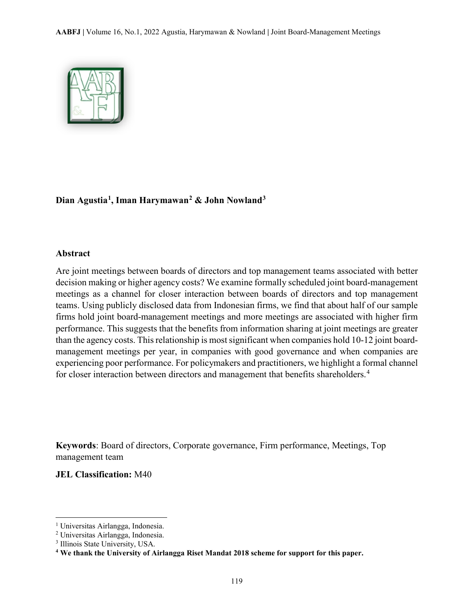

## **Dian Agustia[1,](#page-2-0) Iman Harymawan[2](#page-2-1) & John Nowland[3](#page-2-2)**

#### **Abstract**

Are joint meetings between boards of directors and top management teams associated with better decision making or higher agency costs? We examine formally scheduled joint board-management meetings as a channel for closer interaction between boards of directors and top management teams. Using publicly disclosed data from Indonesian firms, we find that about half of our sample firms hold joint board-management meetings and more meetings are associated with higher firm performance. This suggests that the benefits from information sharing at joint meetings are greater than the agency costs. This relationship is most significant when companies hold 10-12 joint boardmanagement meetings per year, in companies with good governance and when companies are experiencing poor performance. For policymakers and practitioners, we highlight a formal channel for closer interaction between directors and management that benefits shareholders.<sup>[4](#page-2-3)</sup>

**Keywords**: Board of directors, Corporate governance, Firm performance, Meetings, Top management team

### **JEL Classification:** M40

l

<span id="page-2-0"></span><sup>&</sup>lt;sup>1</sup> Universitas Airlangga, Indonesia.

<span id="page-2-1"></span><sup>2</sup> Universitas Airlangga, Indonesia.

<span id="page-2-2"></span><sup>3</sup> Illinois State University, USA.

<span id="page-2-3"></span>**<sup>4</sup> We thank the University of Airlangga Riset Mandat 2018 scheme for support for this paper.**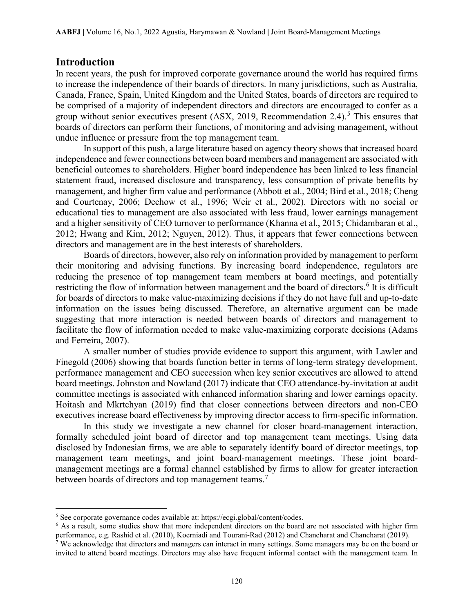## **Introduction**

 $\overline{\phantom{a}}$ 

In recent years, the push for improved corporate governance around the world has required firms to increase the independence of their boards of directors. In many jurisdictions, such as Australia, Canada, France, Spain, United Kingdom and the United States, boards of directors are required to be comprised of a majority of independent directors and directors are encouraged to confer as a group without senior executives present  $(ASK, 2019, Recommendation 2.4)$ .<sup>[5](#page-3-0)</sup> This ensures that boards of directors can perform their functions, of monitoring and advising management, without undue influence or pressure from the top management team.

In support of this push, a large literature based on agency theory shows that increased board independence and fewer connections between board members and management are associated with beneficial outcomes to shareholders. Higher board independence has been linked to less financial statement fraud, increased disclosure and transparency, less consumption of private benefits by management, and higher firm value and performance (Abbott et al., 2004; Bird et al., 2018; Cheng and Courtenay, 2006; Dechow et al., 1996; Weir et al., 2002). Directors with no social or educational ties to management are also associated with less fraud, lower earnings management and a higher sensitivity of CEO turnover to performance (Khanna et al., 2015; Chidambaran et al., 2012; Hwang and Kim, 2012; Nguyen, 2012). Thus, it appears that fewer connections between directors and management are in the best interests of shareholders.

Boards of directors, however, also rely on information provided by management to perform their monitoring and advising functions. By increasing board independence, regulators are reducing the presence of top management team members at board meetings, and potentially restricting the flow of information between management and the board of directors.<sup>[6](#page-3-1)</sup> It is difficult for boards of directors to make value-maximizing decisions if they do not have full and up-to-date information on the issues being discussed. Therefore, an alternative argument can be made suggesting that more interaction is needed between boards of directors and management to facilitate the flow of information needed to make value-maximizing corporate decisions (Adams and Ferreira, 2007).

A smaller number of studies provide evidence to support this argument, with Lawler and Finegold (2006) showing that boards function better in terms of long-term strategy development, performance management and CEO succession when key senior executives are allowed to attend board meetings. Johnston and Nowland (2017) indicate that CEO attendance-by-invitation at audit committee meetings is associated with enhanced information sharing and lower earnings opacity. Hoitash and Mkrtchyan (2019) find that closer connections between directors and non-CEO executives increase board effectiveness by improving director access to firm-specific information.

In this study we investigate a new channel for closer board-management interaction, formally scheduled joint board of director and top management team meetings. Using data disclosed by Indonesian firms, we are able to separately identify board of director meetings, top management team meetings, and joint board-management meetings. These joint boardmanagement meetings are a formal channel established by firms to allow for greater interaction between boards of directors and top management teams.<sup>[7](#page-3-2)</sup>

<span id="page-3-1"></span><span id="page-3-0"></span><sup>&</sup>lt;sup>5</sup> See corporate governance codes available at: [https://ecgi.global/content/codes.](http://www.ecgi.org/codes/all_codes.php)<br><sup>6</sup> As a result, some studies show that more independent directors on the board are not associated with higher firm performance, e.g. Rashid et al. (2010), Koerniadi and Tourani-Rad (2012) and Chancharat and Chancharat (2019).<br><sup>7</sup> We acknowledge that directors and managers can interact in many settings. Some managers may be on the board

<span id="page-3-2"></span>invited to attend board meetings. Directors may also have frequent informal contact with the management team. In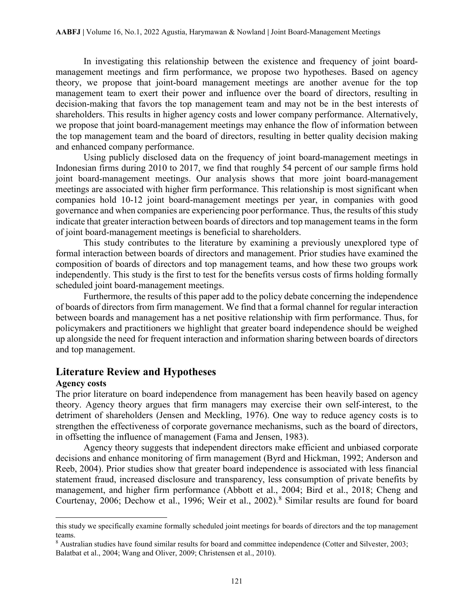In investigating this relationship between the existence and frequency of joint boardmanagement meetings and firm performance, we propose two hypotheses. Based on agency theory, we propose that joint-board management meetings are another avenue for the top management team to exert their power and influence over the board of directors, resulting in decision-making that favors the top management team and may not be in the best interests of shareholders. This results in higher agency costs and lower company performance. Alternatively, we propose that joint board-management meetings may enhance the flow of information between the top management team and the board of directors, resulting in better quality decision making and enhanced company performance.

Using publicly disclosed data on the frequency of joint board-management meetings in Indonesian firms during 2010 to 2017, we find that roughly 54 percent of our sample firms hold joint board-management meetings. Our analysis shows that more joint board-management meetings are associated with higher firm performance. This relationship is most significant when companies hold 10-12 joint board-management meetings per year, in companies with good governance and when companies are experiencing poor performance. Thus, the results of this study indicate that greater interaction between boards of directors and top management teams in the form of joint board-management meetings is beneficial to shareholders.

This study contributes to the literature by examining a previously unexplored type of formal interaction between boards of directors and management. Prior studies have examined the composition of boards of directors and top management teams, and how these two groups work independently. This study is the first to test for the benefits versus costs of firms holding formally scheduled joint board-management meetings.

Furthermore, the results of this paper add to the policy debate concerning the independence of boards of directors from firm management. We find that a formal channel for regular interaction between boards and management has a net positive relationship with firm performance. Thus, for policymakers and practitioners we highlight that greater board independence should be weighed up alongside the need for frequent interaction and information sharing between boards of directors and top management.

## **Literature Review and Hypotheses**

### **Agency costs**

l

The prior literature on board independence from management has been heavily based on agency theory. Agency theory argues that firm managers may exercise their own self-interest, to the detriment of shareholders (Jensen and Meckling, 1976). One way to reduce agency costs is to strengthen the effectiveness of corporate governance mechanisms, such as the board of directors, in offsetting the influence of management (Fama and Jensen, 1983).

Agency theory suggests that independent directors make efficient and unbiased corporate decisions and enhance monitoring of firm management (Byrd and Hickman, 1992; Anderson and Reeb, 2004). Prior studies show that greater board independence is associated with less financial statement fraud, increased disclosure and transparency, less consumption of private benefits by management, and higher firm performance (Abbott et al., 2004; Bird et al., 2018; Cheng and Courtenay, 2006; Dechow et al., 1996; Weir et al., 2002). [8](#page-4-0) Similar results are found for board

this study we specifically examine formally scheduled joint meetings for boards of directors and the top management teams.

<span id="page-4-0"></span><sup>8</sup> Australian studies have found similar results for board and committee independence (Cotter and Silvester, 2003; Balatbat et al., 2004; Wang and Oliver, 2009; Christensen et al., 2010).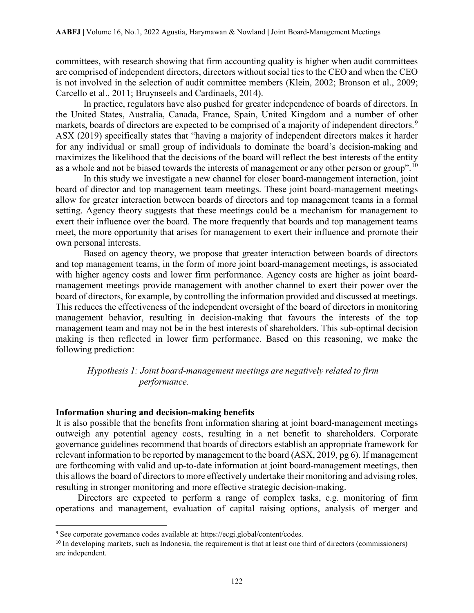committees, with research showing that firm accounting quality is higher when audit committees are comprised of independent directors, directors without social ties to the CEO and when the CEO is not involved in the selection of audit committee members (Klein, 2002; Bronson et al., 2009; Carcello et al., 2011; Bruynseels and Cardinaels, 2014).

In practice, regulators have also pushed for greater independence of boards of directors. In the United States, Australia, Canada, France, Spain, United Kingdom and a number of other markets, boards of directors are expected to be comprised of a majority of independent directors.<sup>[9](#page-5-0)</sup> ASX (2019) specifically states that "having a majority of independent directors makes it harder for any individual or small group of individuals to dominate the board's decision-making and maximizes the likelihood that the decisions of the board will reflect the best interests of the entity as a whole and not be biased towards the interests of management or any other person or group".<sup>[10](#page-5-1)</sup>

In this study we investigate a new channel for closer board-management interaction, joint board of director and top management team meetings. These joint board-management meetings allow for greater interaction between boards of directors and top management teams in a formal setting. Agency theory suggests that these meetings could be a mechanism for management to exert their influence over the board. The more frequently that boards and top management teams meet, the more opportunity that arises for management to exert their influence and promote their own personal interests.

Based on agency theory, we propose that greater interaction between boards of directors and top management teams, in the form of more joint board-management meetings, is associated with higher agency costs and lower firm performance. Agency costs are higher as joint boardmanagement meetings provide management with another channel to exert their power over the board of directors, for example, by controlling the information provided and discussed at meetings. This reduces the effectiveness of the independent oversight of the board of directors in monitoring management behavior, resulting in decision-making that favours the interests of the top management team and may not be in the best interests of shareholders. This sub-optimal decision making is then reflected in lower firm performance. Based on this reasoning, we make the following prediction:

## *Hypothesis 1: Joint board-management meetings are negatively related to firm performance.*

### **Information sharing and decision-making benefits**

It is also possible that the benefits from information sharing at joint board-management meetings outweigh any potential agency costs, resulting in a net benefit to shareholders. Corporate governance guidelines recommend that boards of directors establish an appropriate framework for relevant information to be reported by management to the board (ASX, 2019, pg 6). If management are forthcoming with valid and up-to-date information at joint board-management meetings, then this allows the board of directors to more effectively undertake their monitoring and advising roles, resulting in stronger monitoring and more effective strategic decision-making.

Directors are expected to perform a range of complex tasks, e.g. monitoring of firm operations and management, evaluation of capital raising options, analysis of merger and

<span id="page-5-0"></span> <sup>9</sup> See corporate governance codes available at[: https://ecgi.global/content/codes.](http://www.ecgi.org/codes/all_codes.php)

<span id="page-5-1"></span><sup>&</sup>lt;sup>10</sup> In developing markets, such as Indonesia, the requirement is that at least one third of directors (commissioners) are independent.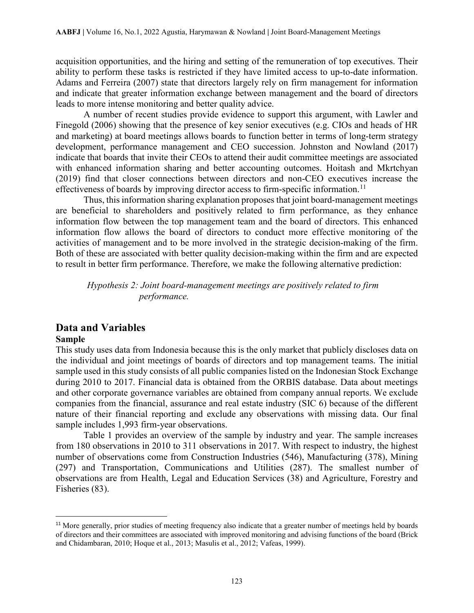acquisition opportunities, and the hiring and setting of the remuneration of top executives. Their ability to perform these tasks is restricted if they have limited access to up-to-date information. Adams and Ferreira (2007) state that directors largely rely on firm management for information and indicate that greater information exchange between management and the board of directors leads to more intense monitoring and better quality advice.

A number of recent studies provide evidence to support this argument, with Lawler and Finegold (2006) showing that the presence of key senior executives (e.g. CIOs and heads of HR and marketing) at board meetings allows boards to function better in terms of long-term strategy development, performance management and CEO succession. Johnston and Nowland (2017) indicate that boards that invite their CEOs to attend their audit committee meetings are associated with enhanced information sharing and better accounting outcomes. Hoitash and Mkrtchyan (2019) find that closer connections between directors and non-CEO executives increase the effectiveness of boards by improving director access to firm-specific information.<sup>[11](#page-6-0)</sup>

Thus, this information sharing explanation proposes that joint board-management meetings are beneficial to shareholders and positively related to firm performance, as they enhance information flow between the top management team and the board of directors. This enhanced information flow allows the board of directors to conduct more effective monitoring of the activities of management and to be more involved in the strategic decision-making of the firm. Both of these are associated with better quality decision-making within the firm and are expected to result in better firm performance. Therefore, we make the following alternative prediction:

*Hypothesis 2: Joint board-management meetings are positively related to firm performance.*

# **Data and Variables**

#### **Sample**

This study uses data from Indonesia because this is the only market that publicly discloses data on the individual and joint meetings of boards of directors and top management teams. The initial sample used in this study consists of all public companies listed on the Indonesian Stock Exchange during 2010 to 2017. Financial data is obtained from the ORBIS database. Data about meetings and other corporate governance variables are obtained from company annual reports. We exclude companies from the financial, assurance and real estate industry (SIC 6) because of the different nature of their financial reporting and exclude any observations with missing data. Our final sample includes 1,993 firm-year observations.

Table 1 provides an overview of the sample by industry and year. The sample increases from 180 observations in 2010 to 311 observations in 2017. With respect to industry, the highest number of observations come from Construction Industries (546), Manufacturing (378), Mining (297) and Transportation, Communications and Utilities (287). The smallest number of observations are from Health, Legal and Education Services (38) and Agriculture, Forestry and Fisheries (83).

<span id="page-6-0"></span><sup>&</sup>lt;sup>11</sup> More generally, prior studies of meeting frequency also indicate that a greater number of meetings held by boards of directors and their committees are associated with improved monitoring and advising functions of the board (Brick and Chidambaran, 2010; Hoque et al., 2013; Masulis et al., 2012; Vafeas, 1999).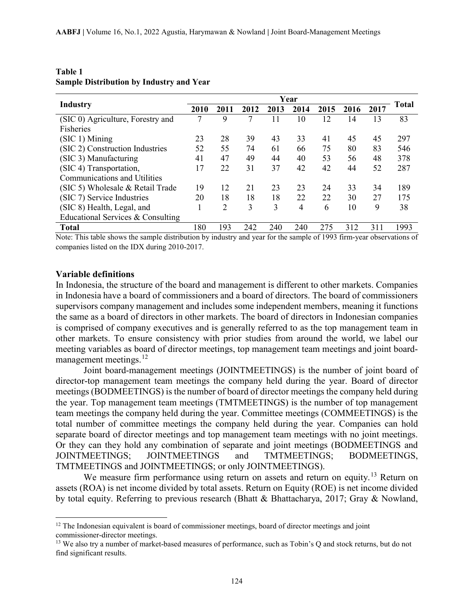| <b>Industry</b>                     | Year |      |      |      |      |      |      | Total |      |
|-------------------------------------|------|------|------|------|------|------|------|-------|------|
|                                     | 2010 | 2011 | 2012 | 2013 | 2014 | 2015 | 2016 | 2017  |      |
| (SIC 0) Agriculture, Forestry and   | 7    | 9    | 7    |      | 10   | 12   | 14   | 13    | 83   |
| Fisheries                           |      |      |      |      |      |      |      |       |      |
| $(SIC 1)$ Mining                    | 23   | 28   | 39   | 43   | 33   | 41   | 45   | 45    | 297  |
| (SIC 2) Construction Industries     | 52   | 55   | 74   | 61   | 66   | 75   | 80   | 83    | 546  |
| (SIC 3) Manufacturing               | 41   | 47   | 49   | 44   | 40   | 53   | 56   | 48    | 378  |
| (SIC 4) Transportation,             | 17   | 22   | 31   | 37   | 42   | 42   | 44   | 52    | 287  |
| <b>Communications and Utilities</b> |      |      |      |      |      |      |      |       |      |
| (SIC 5) Wholesale & Retail Trade    | 19   | 12   | 21   | 23   | 23   | 24   | 33   | 34    | 189  |
| (SIC 7) Service Industries          | 20   | 18   | 18   | 18   | 22   | 22   | 30   | 27    | 175  |
| (SIC 8) Health, Legal, and          |      | 2    | 3    | 3    | 4    | 6    | 10   | 9     | 38   |
| Educational Services & Consulting   |      |      |      |      |      |      |      |       |      |
| <b>Total</b>                        | 180  | 193  | 242  | 240  | 240  | 275  | 312  | 311   | 1993 |

## **Table 1 Sample Distribution by Industry and Year**

Note: This table shows the sample distribution by industry and year for the sample of 1993 firm-year observations of companies listed on the IDX during 2010-2017.

#### **Variable definitions**

l

In Indonesia, the structure of the board and management is different to other markets. Companies in Indonesia have a board of commissioners and a board of directors. The board of commissioners supervisors company management and includes some independent members, meaning it functions the same as a board of directors in other markets. The board of directors in Indonesian companies is comprised of company executives and is generally referred to as the top management team in other markets. To ensure consistency with prior studies from around the world, we label our meeting variables as board of director meetings, top management team meetings and joint boardmanagement meetings. $^{12}$  $^{12}$  $^{12}$ 

Joint board-management meetings (JOINTMEETINGS) is the number of joint board of director-top management team meetings the company held during the year. Board of director meetings (BODMEETINGS) is the number of board of director meetings the company held during the year. Top management team meetings (TMTMEETINGS) is the number of top management team meetings the company held during the year. Committee meetings (COMMEETINGS) is the total number of committee meetings the company held during the year. Companies can hold separate board of director meetings and top management team meetings with no joint meetings. Or they can they hold any combination of separate and joint meetings (BODMEETINGS and JOINTMEETINGS; JOINTMEETINGS and TMTMEETINGS; BODMEETINGS, TMTMEETINGS and JOINTMEETINGS; or only JOINTMEETINGS).

We measure firm performance using return on assets and return on equity.<sup>[13](#page-7-1)</sup> Return on assets (ROA) is net income divided by total assets. Return on Equity (ROE) is net income divided by total equity. Referring to previous research (Bhatt & Bhattacharya, 2017; Gray & Nowland,

<span id="page-7-0"></span> $12$  The Indonesian equivalent is board of commissioner meetings, board of director meetings and joint commissioner-director meetings.

<span id="page-7-1"></span><sup>&</sup>lt;sup>13</sup> We also try a number of market-based measures of performance, such as Tobin's Q and stock returns, but do not find significant results.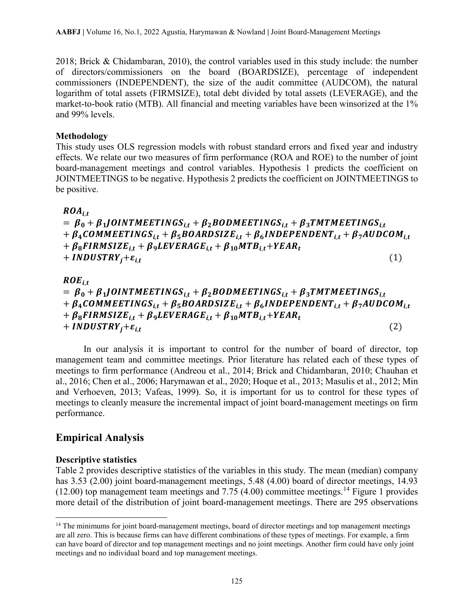2018; Brick & Chidambaran, 2010), the control variables used in this study include: the number of directors/commissioners on the board (BOARDSIZE), percentage of independent commissioners (INDEPENDENT), the size of the audit committee (AUDCOM), the natural logarithm of total assets (FIRMSIZE), total debt divided by total assets (LEVERAGE), and the market-to-book ratio (MTB). All financial and meeting variables have been winsorized at the 1% and 99% levels.

## **Methodology**

This study uses OLS regression models with robust standard errors and fixed year and industry effects. We relate our two measures of firm performance (ROA and ROE) to the number of joint board-management meetings and control variables. Hypothesis 1 predicts the coefficient on JOINTMEETINGS to be negative. Hypothesis 2 predicts the coefficient on JOINTMEETINGS to be positive.

 $ROA_{it}$ 

 $= \beta_0 + \beta_1$ JOINTMEETINGS<sub>it</sub> +  $\beta_2$ BODMEETINGS<sub>it</sub> +  $\beta_3$ TMTMEETINGS<sub>it</sub>  $+ \beta_4$ COMMEETINGS<sub>it</sub> +  $\beta_5$ BOARDSIZE<sub>it</sub> +  $\beta_6$ INDEPENDENT<sub>it</sub> +  $\beta_7$ AUDCOM<sub>it</sub>  $+ \beta_8$ FIRMSIZE<sub>it</sub> +  $\beta_9$ LEVERAGE<sub>it</sub> +  $\beta_{10}$ MTB<sub>it</sub> + YEAR<sub>t</sub> +  $INDUSTRY_i + \varepsilon_{i,t}$  (1)

 $ROE_{it}$  $= \beta_0 + \beta_1$ JOINTMEETINGS<sub>it</sub> +  $\beta_2$ BODMEETINGS<sub>it</sub> +  $\beta_3$ TMTMEETINGS<sub>it</sub>  $+ \beta_4 \text{COMMEETINGS}_{i,t} + \beta_5 \text{BOARDSIZE}_{i,t} + \beta_6 \text{INDEPENDENT}_{i,t} + \beta_7 \text{AUDCOM}_{i,t}$  $+ \beta_8$ FIRMSIZE<sub>it</sub> +  $\beta_9$ LEVERAGE<sub>it</sub> +  $\beta_{10}$ MTB<sub>it</sub> + YEAR<sub>t</sub> +  $INDUSTRY_i + \varepsilon_{i,t}$  (2)

In our analysis it is important to control for the number of board of director, top management team and committee meetings. Prior literature has related each of these types of meetings to firm performance (Andreou et al., 2014; Brick and Chidambaran, 2010; Chauhan et al., 2016; Chen et al., 2006; Harymawan et al., 2020; Hoque et al., 2013; Masulis et al., 2012; Min and Verhoeven, 2013; Vafeas, 1999). So, it is important for us to control for these types of meetings to cleanly measure the incremental impact of joint board-management meetings on firm performance.

# **Empirical Analysis**

## **Descriptive statistics**

l

Table 2 provides descriptive statistics of the variables in this study. The mean (median) company has 3.53 (2.00) joint board-management meetings, 5.48 (4.00) board of director meetings, 14.93  $(12.00)$  top management team meetings and 7.75 (4.00) committee meetings.<sup>[14](#page-8-0)</sup> Figure 1 provides more detail of the distribution of joint board-management meetings. There are 295 observations

<span id="page-8-0"></span><sup>&</sup>lt;sup>14</sup> The minimums for joint board-management meetings, board of director meetings and top management meetings are all zero. This is because firms can have different combinations of these types of meetings. For example, a firm can have board of director and top management meetings and no joint meetings. Another firm could have only joint meetings and no individual board and top management meetings.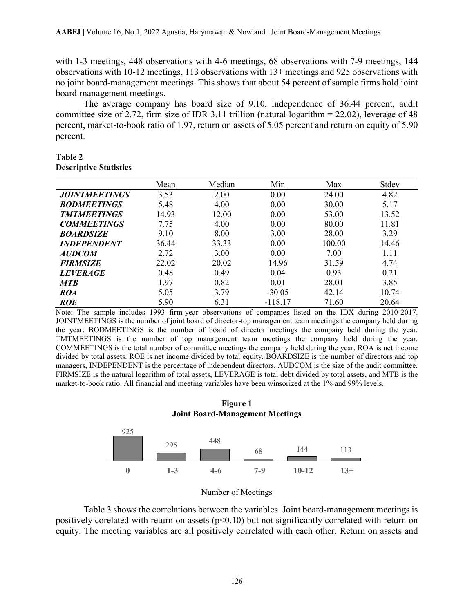with 1-3 meetings, 448 observations with 4-6 meetings, 68 observations with 7-9 meetings, 144 observations with 10-12 meetings, 113 observations with 13+ meetings and 925 observations with no joint board-management meetings. This shows that about 54 percent of sample firms hold joint board-management meetings.

The average company has board size of 9.10, independence of 36.44 percent, audit committee size of 2.72, firm size of IDR 3.11 trillion (natural logarithm = 22.02), leverage of 48 percent, market-to-book ratio of 1.97, return on assets of 5.05 percent and return on equity of 5.90 percent.

#### **Table 2 Descriptive Statistics**

|                             | Mean  | Median | Min       | Max    | Stdev |
|-----------------------------|-------|--------|-----------|--------|-------|
| <i><b>JOINTMEETINGS</b></i> | 3.53  | 2.00   | 0.00      | 24.00  | 4.82  |
| <b>BODMEETINGS</b>          | 5.48  | 4.00   | 0.00      | 30.00  | 5.17  |
| <b>TMTMEETINGS</b>          | 14.93 | 12.00  | 0.00      | 53.00  | 13.52 |
| <b>COMMEETINGS</b>          | 7.75  | 4.00   | 0.00      | 80.00  | 11.81 |
| <b>BOARDSIZE</b>            | 9.10  | 8.00   | 3.00      | 28.00  | 3.29  |
| <b>INDEPENDENT</b>          | 36.44 | 33.33  | 0.00      | 100.00 | 14.46 |
| <b>AUDCOM</b>               | 2.72  | 3.00   | 0.00      | 7.00   | 1.11  |
| <b>FIRMSIZE</b>             | 22.02 | 20.02  | 14.96     | 31.59  | 4.74  |
| <b>LEVERAGE</b>             | 0.48  | 0.49   | 0.04      | 0.93   | 0.21  |
| <b>MTB</b>                  | 1.97  | 0.82   | 0.01      | 28.01  | 3.85  |
| ROA                         | 5.05  | 3.79   | $-30.05$  | 42.14  | 10.74 |
| <b>ROE</b>                  | 5.90  | 6.31   | $-118.17$ | 71.60  | 20.64 |

Note: The sample includes 1993 firm-year observations of companies listed on the IDX during 2010-2017. JOINTMEETINGS is the number of joint board of director-top management team meetings the company held during the year. BODMEETINGS is the number of board of director meetings the company held during the year. TMTMEETINGS is the number of top management team meetings the company held during the year. COMMEETINGS is the total number of committee meetings the company held during the year. ROA is net income divided by total assets. ROE is net income divided by total equity. BOARDSIZE is the number of directors and top managers, INDEPENDENT is the percentage of independent directors, AUDCOM is the size of the audit committee, FIRMSIZE is the natural logarithm of total assets, LEVERAGE is total debt divided by total assets, and MTB is the market-to-book ratio. All financial and meeting variables have been winsorized at the 1% and 99% levels.

#### **Figure 1 Joint Board-Management Meetings**



| Number of Meetings |  |
|--------------------|--|
|                    |  |

Table 3 shows the correlations between the variables. Joint board-management meetings is positively corelated with return on assets ( $p<0.10$ ) but not significantly correlated with return on equity. The meeting variables are all positively correlated with each other. Return on assets and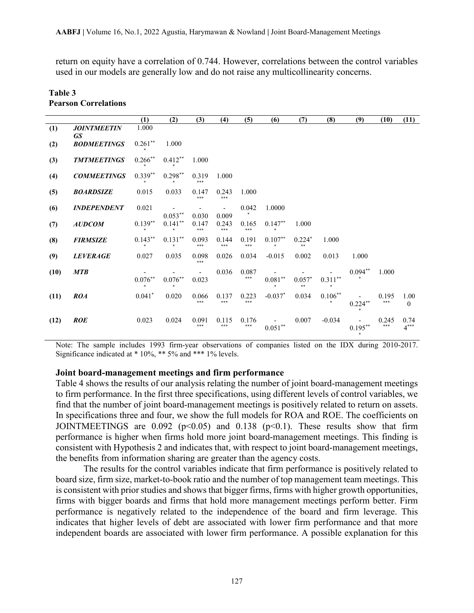return on equity have a correlation of 0.744. However, correlations between the control variables used in our models are generally low and do not raise any multicollinearity concerns.

## **Table 3 Pearson Correlations**

|      |                                 | (1)        | (2)        | (3)          | (4)          | (5)          | (6)        | (7)            | (8)        | (9)                         | (10)         | (11)                 |
|------|---------------------------------|------------|------------|--------------|--------------|--------------|------------|----------------|------------|-----------------------------|--------------|----------------------|
| (1)  | <b>JOINTMEETIN</b>              | 1.000      |            |              |              |              |            |                |            |                             |              |                      |
| (2)  | <b>GS</b><br><b>BODMEETINGS</b> | $0.261***$ | 1.000      |              |              |              |            |                |            |                             |              |                      |
| (3)  | <b>TMTMEETINGS</b>              | $0.266***$ | $0.412**$  | 1.000        |              |              |            |                |            |                             |              |                      |
| (4)  | <b>COMMEETINGS</b>              | $0.339**$  | $0.298***$ | 0.319<br>*** | 1.000        |              |            |                |            |                             |              |                      |
| (5)  | <b>BOARDSIZE</b>                | 0.015      | 0.033      | 0.147<br>*** | 0.243<br>*** | 1.000        |            |                |            |                             |              |                      |
| (6)  | <b>INDEPENDENT</b>              | 0.021      | $0.053***$ | 0.030        | 0.009        | 0.042        | 1.0000     |                |            |                             |              |                      |
| (7)  | <b>AUDCOM</b>                   | $0.139***$ | $0.141***$ | 0.147<br>*** | 0.243<br>*** | 0.165<br>*** | $0.147**$  | 1.000          |            |                             |              |                      |
| (8)  | <b>FIRMSIZE</b>                 | $0.143***$ | $0.131***$ | 0.093<br>*** | 0.144<br>*** | 0.191<br>*** | $0.107**$  | $0.224*$<br>** | 1.000      |                             |              |                      |
| (9)  | <b>LEVERAGE</b>                 | 0.027      | 0.035      | 0.098<br>*** | 0.026        | 0.034        | $-0.015$   | 0.002          | 0.013      | 1.000                       |              |                      |
| (10) | <b>MTB</b>                      | $0.076***$ | $0.076***$ | 0.023        | 0.036        | 0.087<br>*** | $0.081***$ | $0.057*$<br>** | $0.311***$ | $0.094**$<br>金              | 1.000        |                      |
| (11) | <b>ROA</b>                      | $0.041*$   | 0.020      | 0.066<br>*** | 0.137<br>*** | 0.223<br>*** | $-0.037*$  | 0.034          | $0.106***$ | $0.224***$                  | 0.195<br>*** | 1.00<br>$\mathbf{0}$ |
| (12) | <b>ROE</b>                      | 0.023      | 0.024      | 0.091<br>*** | 0.115<br>*** | 0.176<br>*** | $0.051***$ | 0.007          | $-0.034$   | $0.195***$<br>$\frac{1}{2}$ | 0.245<br>*** | 0.74<br>$4***$       |

Note: The sample includes 1993 firm-year observations of companies listed on the IDX during 2010-2017. Significance indicated at \* 10%, \*\* 5% and \*\*\* 1% levels.

#### **Joint board-management meetings and firm performance**

Table 4 shows the results of our analysis relating the number of joint board-management meetings to firm performance. In the first three specifications, using different levels of control variables, we find that the number of joint board-management meetings is positively related to return on assets. In specifications three and four, we show the full models for ROA and ROE. The coefficients on JOINTMEETINGS are  $0.092$  (p<0.05) and 0.138 (p<0.1). These results show that firm performance is higher when firms hold more joint board-management meetings. This finding is consistent with Hypothesis 2 and indicates that, with respect to joint board-management meetings, the benefits from information sharing are greater than the agency costs.

The results for the control variables indicate that firm performance is positively related to board size, firm size, market-to-book ratio and the number of top management team meetings. This is consistent with prior studies and shows that bigger firms, firms with higher growth opportunities, firms with bigger boards and firms that hold more management meetings perform better. Firm performance is negatively related to the independence of the board and firm leverage. This indicates that higher levels of debt are associated with lower firm performance and that more independent boards are associated with lower firm performance. A possible explanation for this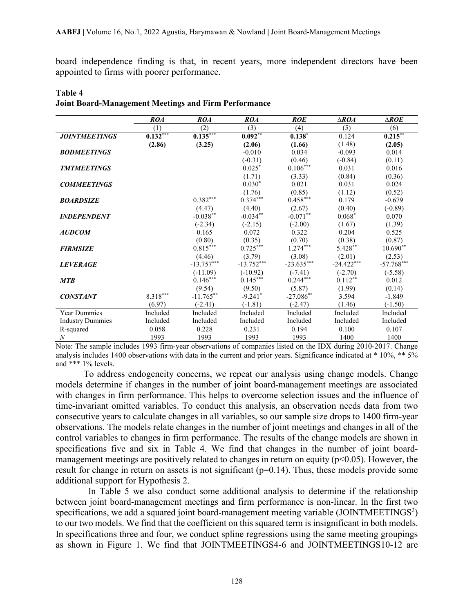board independence finding is that, in recent years, more independent directors have been appointed to firms with poorer performance.

|                         | <b>ROA</b> | <b>ROA</b>             | <b>ROA</b>   | <b>ROE</b>    | $\triangle ROA$ | $\triangle ROE$ |
|-------------------------|------------|------------------------|--------------|---------------|-----------------|-----------------|
|                         | (1)        | (2)                    | (3)          | (4)           | (5)             | (6)             |
| <b>JOINTMEETINGS</b>    | $0.132***$ | $0.135***$             | $0.092***$   | $0.138*$      | 0.124           | $0.215***$      |
|                         | (2.86)     | (3.25)                 | (2.06)       | (1.66)        | (1.48)          | (2.05)          |
| <b>BODMEETINGS</b>      |            |                        | $-0.010$     | 0.034         | $-0.093$        | 0.014           |
|                         |            |                        | $(-0.31)$    | (0.46)        | $(-0.84)$       | (0.11)          |
| <b>TMTMEETINGS</b>      |            |                        | $0.025*$     | $0.106^{***}$ | 0.031           | 0.016           |
|                         |            |                        | (1.71)       | (3.33)        | (0.84)          | (0.36)          |
| <b>COMMEETINGS</b>      |            |                        | $0.030*$     | 0.021         | 0.031           | 0.024           |
|                         |            |                        | (1.76)       | (0.85)        | (1.12)          | (0.52)          |
| <b>BOARDSIZE</b>        |            | $0.382***$             | $0.374***$   | $0.458***$    | 0.179           | $-0.679$        |
|                         |            | (4.47)                 | (4.40)       | (2.67)        | (0.40)          | $(-0.89)$       |
| <b>INDEPENDENT</b>      |            | $-0.038***$            | $-0.034***$  | $-0.071***$   | $0.068*$        | 0.070           |
|                         |            | $(-2.34)$              | $(-2.15)$    | $(-2.00)$     | (1.67)          | (1.39)          |
| <b>AUDCOM</b>           |            | 0.165                  | 0.072        | 0.322         | 0.204           | 0.525           |
|                         |            | (0.80)                 | (0.35)       | (0.70)        | (0.38)          | (0.87)          |
| <b>FIRMSIZE</b>         |            | $0.815^{\ast\ast\ast}$ | $0.725***$   | $1.274***$    | 5.428**         | $10.690**$      |
|                         |            | (4.46)                 | (3.79)       | (3.08)        | (2.01)          | (2.53)          |
| <b>LEVERAGE</b>         |            | $-13.757***$           | $-13.752***$ | $-23.635***$  | $-24.422***$    | $-57.768***$    |
|                         |            | $(-11.09)$             | $(-10.92)$   | $(-7.41)$     | $(-2.70)$       | $(-5.58)$       |
| <b>MTB</b>              |            | $0.146***$             | $0.145***$   | $0.244***$    | $0.112***$      | 0.012           |
|                         |            | (9.54)                 | (9.50)       | (5.87)        | (1.99)          | (0.14)          |
| <b>CONSTANT</b>         | $8.318***$ | $-11.765***$           | $-9.241$ *   | $-27.086**$   | 3.594           | $-1.849$        |
|                         | (6.97)     | $(-2.41)$              | $(-1.81)$    | $(-2.47)$     | (1.46)          | $(-1.50)$       |
| <b>Year Dummies</b>     | Included   | Included               | Included     | Included      | Included        | Included        |
| <b>Industry Dummies</b> | Included   | Included               | Included     | Included      | Included        | Included        |
| R-squared               | 0.058      | 0.228                  | 0.231        | 0.194         | 0.100           | 0.107           |
| $\boldsymbol{N}$        | 1993       | 1993                   | 1993         | 1993          | 1400            | 1400            |

## **Table 4 Joint Board-Management Meetings and Firm Performance**

Note: The sample includes 1993 firm-year observations of companies listed on the IDX during 2010-2017. Change analysis includes 1400 observations with data in the current and prior years. Significance indicated at  $*$  10%,  $**$  5% and \*\*\* 1% levels.

To address endogeneity concerns, we repeat our analysis using change models. Change models determine if changes in the number of joint board-management meetings are associated with changes in firm performance. This helps to overcome selection issues and the influence of time-invariant omitted variables. To conduct this analysis, an observation needs data from two consecutive years to calculate changes in all variables, so our sample size drops to 1400 firm-year observations. The models relate changes in the number of joint meetings and changes in all of the control variables to changes in firm performance. The results of the change models are shown in specifications five and six in Table 4. We find that changes in the number of joint boardmanagement meetings are positively related to changes in return on equity ( $p<0.05$ ). However, the result for change in return on assets is not significant  $(p=0.14)$ . Thus, these models provide some additional support for Hypothesis 2.

 In Table 5 we also conduct some additional analysis to determine if the relationship between joint board-management meetings and firm performance is non-linear. In the first two specifications, we add a squared joint board-management meeting variable (JOINTMEETINGS<sup>2</sup>) to our two models. We find that the coefficient on this squared term is insignificant in both models. In specifications three and four, we conduct spline regressions using the same meeting groupings as shown in Figure 1. We find that JOINTMEETINGS4-6 and JOINTMEETINGS10-12 are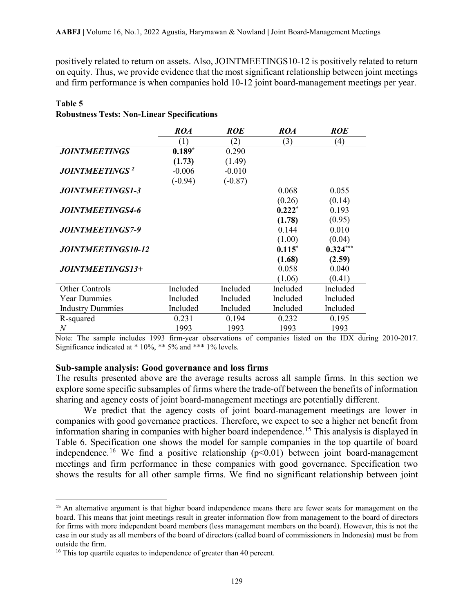positively related to return on assets. Also, JOINTMEETINGS10-12 is positively related to return on equity. Thus, we provide evidence that the most significant relationship between joint meetings and firm performance is when companies hold 10-12 joint board-management meetings per year.

|                                   | ROA       | <b>ROE</b> | <b>ROA</b> | <b>ROE</b>        |
|-----------------------------------|-----------|------------|------------|-------------------|
|                                   | (1)       | (2)        | (3)        | $\left( 4\right)$ |
| <b>JOINTMEETINGS</b>              | $0.189*$  | 0.290      |            |                   |
|                                   | (1.73)    | (1.49)     |            |                   |
| <b>JOINTMEETINGS</b> <sup>2</sup> | $-0.006$  | $-0.010$   |            |                   |
|                                   | $(-0.94)$ | $(-0.87)$  |            |                   |
| <i><b>JOINTMEETINGS1-3</b></i>    |           |            | 0.068      | 0.055             |
|                                   |           |            | (0.26)     | (0.14)            |
| <b>JOINTMEETINGS4-6</b>           |           |            | $0.222*$   | 0.193             |
|                                   |           |            | (1.78)     | (0.95)            |
| <b>JOINTMEETINGS7-9</b>           |           |            | 0.144      | 0.010             |
|                                   |           |            | (1.00)     | (0.04)            |
| <b>JOINTMEETINGS10-12</b>         |           |            | $0.115*$   | $0.324***$        |
|                                   |           |            | (1.68)     | (2.59)            |
| JOINTMEETINGS13+                  |           |            | 0.058      | 0.040             |
|                                   |           |            | (1.06)     | (0.41)            |
| <b>Other Controls</b>             | Included  | Included   | Included   | Included          |
| <b>Year Dummies</b>               | Included  | Included   | Included   | Included          |
| <b>Industry Dummies</b>           | Included  | Included   | Included   | Included          |
| R-squared                         | 0.231     | 0.194      | 0.232      | 0.195             |
| N                                 | 1993      | 1993       | 1993       | 1993              |

#### **Table 5**

|  | <b>Robustness Tests: Non-Linear Specifications</b> |
|--|----------------------------------------------------|
|  |                                                    |

Note: The sample includes 1993 firm-year observations of companies listed on the IDX during 2010-2017. Significance indicated at \* 10%, \*\* 5% and \*\*\* 1% levels.

#### **Sub-sample analysis: Good governance and loss firms**

The results presented above are the average results across all sample firms. In this section we explore some specific subsamples of firms where the trade-off between the benefits of information sharing and agency costs of joint board-management meetings are potentially different.

We predict that the agency costs of joint board-management meetings are lower in companies with good governance practices. Therefore, we expect to see a higher net benefit from information sharing in companies with higher board independence.[15](#page-12-0) This analysis is displayed in Table 6. Specification one shows the model for sample companies in the top quartile of board independence.<sup>[16](#page-12-1)</sup> We find a positive relationship  $(p<0.01)$  between joint board-management meetings and firm performance in these companies with good governance. Specification two shows the results for all other sample firms. We find no significant relationship between joint

<span id="page-12-0"></span><sup>&</sup>lt;sup>15</sup> An alternative argument is that higher board independence means there are fewer seats for management on the board. This means that joint meetings result in greater information flow from management to the board of directors for firms with more independent board members (less management members on the board). However, this is not the case in our study as all members of the board of directors (called board of commissioners in Indonesia) must be from outside the firm.

<span id="page-12-1"></span><sup>&</sup>lt;sup>16</sup> This top quartile equates to independence of greater than 40 percent.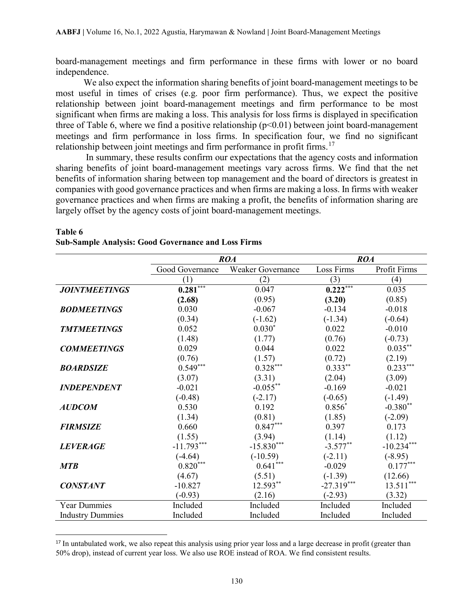board-management meetings and firm performance in these firms with lower or no board independence.

We also expect the information sharing benefits of joint board-management meetings to be most useful in times of crises (e.g. poor firm performance). Thus, we expect the positive relationship between joint board-management meetings and firm performance to be most significant when firms are making a loss. This analysis for loss firms is displayed in specification three of Table 6, where we find a positive relationship ( $p<0.01$ ) between joint board-management meetings and firm performance in loss firms. In specification four, we find no significant relationship between joint meetings and firm performance in profit firms.<sup>[17](#page-13-0)</sup>

In summary, these results confirm our expectations that the agency costs and information sharing benefits of joint board-management meetings vary across firms. We find that the net benefits of information sharing between top management and the board of directors is greatest in companies with good governance practices and when firms are making a loss. In firms with weaker governance practices and when firms are making a profit, the benefits of information sharing are largely offset by the agency costs of joint board-management meetings.

|                         |                        | <b>ROA</b>             | <b>ROA</b>   |              |  |  |
|-------------------------|------------------------|------------------------|--------------|--------------|--|--|
|                         | Good Governance        | Weaker Governance      | Loss Firms   | Profit Firms |  |  |
|                         | (1)                    | (2)                    | (3)          | (4)          |  |  |
| <b>JOINTMEETINGS</b>    | $0.281***$             | 0.047                  | $0.222***$   | 0.035        |  |  |
|                         | (2.68)                 | (0.95)                 | (3.20)       | (0.85)       |  |  |
| <b>BODMEETINGS</b>      | 0.030                  | $-0.067$               | $-0.134$     | $-0.018$     |  |  |
|                         | (0.34)                 | $(-1.62)$              | $(-1.34)$    | $(-0.64)$    |  |  |
| <b>TMTMEETINGS</b>      | 0.052                  | $0.030*$               | 0.022        | $-0.010$     |  |  |
|                         | (1.48)                 | (1.77)                 | (0.76)       | $(-0.73)$    |  |  |
| <b>COMMEETINGS</b>      | 0.029                  | 0.044                  | 0.022        | $0.035***$   |  |  |
|                         | (0.76)                 | (1.57)                 | (0.72)       | (2.19)       |  |  |
| <b>BOARDSIZE</b>        | $0.549***$             | $0.328^{\ast\ast\ast}$ | $0.333***$   | $0.233***$   |  |  |
|                         | (3.07)                 | (3.31)                 | (2.04)       | (3.09)       |  |  |
| <b>INDEPENDENT</b>      | $-0.021$               | $-0.055***$            | $-0.169$     | $-0.021$     |  |  |
|                         | $(-0.48)$              | $(-2.17)$              | $(-0.65)$    | $(-1.49)$    |  |  |
| <b>AUDCOM</b>           | 0.530                  | 0.192                  | $0.856*$     | $-0.380**$   |  |  |
|                         | (1.34)                 | (0.81)                 | (1.85)       | $(-2.09)$    |  |  |
| <b>FIRMSIZE</b>         | 0.660                  | $0.847***$             | 0.397        | 0.173        |  |  |
|                         | (1.55)                 | (3.94)                 | (1.14)       | (1.12)       |  |  |
| <b>LEVERAGE</b>         | $-11.793***$           | $-15.830***$           | $-3.577**$   | $-10.234***$ |  |  |
|                         | $(-4.64)$              | $(-10.59)$             | $(-2.11)$    | $(-8.95)$    |  |  |
| <b>MTB</b>              | $0.820^{\ast\ast\ast}$ | $0.641***$             | $-0.029$     | $0.177***$   |  |  |
|                         | (4.67)                 | (5.51)                 | $(-1.39)$    | (12.66)      |  |  |
| <b>CONSTANT</b>         | $-10.827$              | 12.593**               | $-27.319***$ | $13.511***$  |  |  |
|                         | $(-0.93)$              | (2.16)                 | $(-2.93)$    | (3.32)       |  |  |
| <b>Year Dummies</b>     | Included               | Included               | Included     | Included     |  |  |
| <b>Industry Dummies</b> | Included               | Included               | Included     | Included     |  |  |

## **Sub-Sample Analysis: Good Governance and Loss Firms**

**Table 6**

<span id="page-13-0"></span><sup>&</sup>lt;sup>17</sup> In untabulated work, we also repeat this analysis using prior year loss and a large decrease in profit (greater than 50% drop), instead of current year loss. We also use ROE instead of ROA. We find consistent results.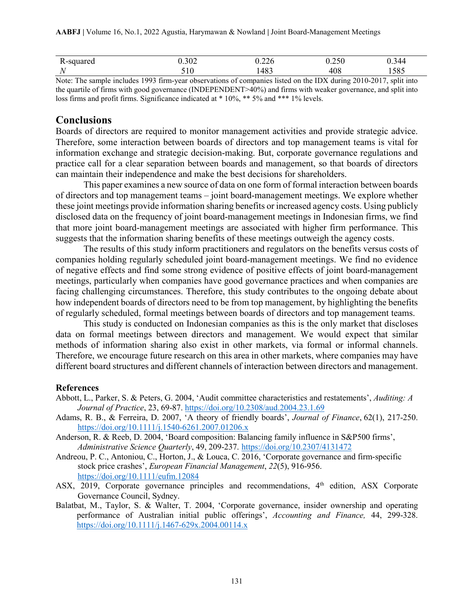| ∪u                      |  |                                                   | 200<br>1.90 <i>l</i> |  | J.ZZO         | $J \cdot L \cup U$ |          | 344<br>い・ノエコ |
|-------------------------|--|---------------------------------------------------|----------------------|--|---------------|--------------------|----------|--------------|
| . .                     |  |                                                   | 1 V                  |  | 483           | 40e                |          | 505<br>1905  |
| $\sim$<br>$\sim$ $\sim$ |  | $\lambda$ $\lambda$ $\lambda$ $\lambda$ $\lambda$ |                      |  | $\rightarrow$ | $-1$               | $\cdots$ | $\cdots$     |

Note: The sample includes 1993 firm-year observations of companies listed on the IDX during 2010-2017, split into the quartile of firms with good governance (INDEPENDENT>40%) and firms with weaker governance, and split into loss firms and profit firms. Significance indicated at \* 10%, \*\* 5% and \*\*\* 1% levels.

## **Conclusions**

Boards of directors are required to monitor management activities and provide strategic advice. Therefore, some interaction between boards of directors and top management teams is vital for information exchange and strategic decision-making. But, corporate governance regulations and practice call for a clear separation between boards and management, so that boards of directors can maintain their independence and make the best decisions for shareholders.

This paper examines a new source of data on one form of formal interaction between boards of directors and top management teams – joint board-management meetings. We explore whether these joint meetings provide information sharing benefits or increased agency costs. Using publicly disclosed data on the frequency of joint board-management meetings in Indonesian firms, we find that more joint board-management meetings are associated with higher firm performance. This suggests that the information sharing benefits of these meetings outweigh the agency costs.

The results of this study inform practitioners and regulators on the benefits versus costs of companies holding regularly scheduled joint board-management meetings. We find no evidence of negative effects and find some strong evidence of positive effects of joint board-management meetings, particularly when companies have good governance practices and when companies are facing challenging circumstances. Therefore, this study contributes to the ongoing debate about how independent boards of directors need to be from top management, by highlighting the benefits of regularly scheduled, formal meetings between boards of directors and top management teams.

This study is conducted on Indonesian companies as this is the only market that discloses data on formal meetings between directors and management. We would expect that similar methods of information sharing also exist in other markets, via formal or informal channels. Therefore, we encourage future research on this area in other markets, where companies may have different board structures and different channels of interaction between directors and management.

### **References**

- Abbott, L., Parker, S. & Peters, G. 2004, 'Audit committee characteristics and restatements', *Auditing: A Journal of Practice*, 23, 69-87.<https://doi.org/10.2308/aud.2004.23.1.69>
- Adams, R. B., & Ferreira, D. 2007, 'A theory of friendly boards', *Journal of Finance*, 62(1), 217-250. <https://doi.org/10.1111/j.1540-6261.2007.01206.x>
- Anderson, R. & Reeb, D. 2004, 'Board composition: Balancing family influence in S&P500 firms', *Administrative Science Quarterly*, 49, 209-237. <https://doi.org/10.2307/4131472>
- Andreou, P. C., Antoniou, C., Horton, J., & Louca, C. 2016, 'Corporate governance and firm-specific stock price crashes', *European Financial Management*, *22*(5), 916-956. <https://doi.org/10.1111/eufm.12084>
- ASX, 2019, Corporate governance principles and recommendations,  $4<sup>th</sup>$  edition, ASX Corporate Governance Council, Sydney.
- Balatbat, M., Taylor, S. & Walter, T. 2004, 'Corporate governance, insider ownership and operating performance of Australian initial public offerings', *Accounting and Finance,* 44, 299-328. <https://doi.org/10.1111/j.1467-629x.2004.00114.x>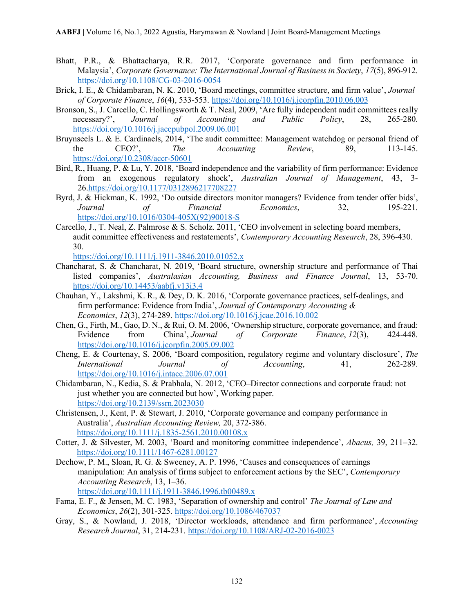- Bhatt, P.R., & Bhattacharya, R.R. 2017, 'Corporate governance and firm performance in Malaysia', *Corporate Governance: The International Journal of Business in Society*, *17*(5), 896-912. <https://doi.org/10.1108/CG-03-2016-0054>
- Brick, I. E., & Chidambaran, N. K. 2010, 'Board meetings, committee structure, and firm value', *Journal of Corporate Finance*, *16*(4), 533-553. <https://doi.org/10.1016/j.jcorpfin.2010.06.003>
- Bronson, S., J. Carcello, C. Hollingsworth & T. Neal, 2009, 'Are fully independent audit committees really necessary?', *Journal of Accounting and Public Policy*, 28, 265-280. <https://doi.org/10.1016/j.jaccpubpol.2009.06.001>
- Bruynseels L. & E. Cardinaels, 2014, 'The audit committee: Management watchdog or personal friend of the CEO?', *The Accounting Review*, 89, 113-145. <https://doi.org/10.2308/accr-50601>
- Bird, R., Huang, P. & Lu, Y. 2018, 'Board independence and the variability of firm performance: Evidence from an exogenous regulatory shock', *Australian Journal of Management*, 43, 3- 26[.https://doi.org/10.1177/0312896217708227](https://doi.org/10.1177/0312896217708227)
- Byrd, J. & Hickman, K. 1992, 'Do outside directors monitor managers? Evidence from tender offer bids', *Journal of Financial Economics*, 32, 195-221. [https://doi.org/10.1016/0304-405X\(92\)90018-S](https://doi.org/10.1016/0304-405X(92)90018-S)
- Carcello, J., T. Neal, Z. Palmrose & S. Scholz. 2011, 'CEO involvement in selecting board members, audit committee effectiveness and restatements', *Contemporary Accounting Research*, 28, 396-430. 30.

<https://doi.org/10.1111/j.1911-3846.2010.01052.x>

- Chancharat, S. & Chancharat, N. 2019, 'Board structure, ownership structure and performance of Thai listed companies', *Australasian Accounting, Business and Finance Journal*, 13, 53-70. <https://doi.org/10.14453/aabfj.v13i3.4>
- Chauhan, Y., Lakshmi, K. R., & Dey, D. K. 2016, 'Corporate governance practices, self-dealings, and firm performance: Evidence from India', *Journal of Contemporary Accounting & Economics*, *12*(3), 274-289. <https://doi.org/10.1016/j.jcae.2016.10.002>
- Chen, G., Firth, M., Gao, D. N., & Rui, O. M. 2006, 'Ownership structure, corporate governance, and fraud: Evidence from China', *Journal of Corporate Finance*, *12*(3), 424-448. <https://doi.org/10.1016/j.jcorpfin.2005.09.002>
- Cheng, E. & Courtenay, S. 2006, 'Board composition, regulatory regime and voluntary disclosure', *The International Journal of Accounting*, 41, 262-289. <https://doi.org/10.1016/j.intacc.2006.07.001>
- Chidambaran, N., Kedia, S. & Prabhala, N. 2012, 'CEO–Director connections and corporate fraud: not just whether you are connected but how', Working paper. <https://doi.org/10.2139/ssrn.2023030>
- Christensen, J., Kent, P. & Stewart, J. 2010, 'Corporate governance and company performance in Australia', *Australian Accounting Review,* 20, 372-386. <https://doi.org/10.1111/j.1835-2561.2010.00108.x>
- Cotter, J. & Silvester, M. 2003, 'Board and monitoring committee independence', *Abacus,* 39, 211–32. <https://doi.org/10.1111/1467-6281.00127>
- Dechow, P. M., Sloan, R. G. & Sweeney, A. P. 1996, 'Causes and consequences of earnings manipulation: An analysis of firms subject to enforcement actions by the SEC', *Contemporary Accounting Research*, 13, 1–36. <https://doi.org/10.1111/j.1911-3846.1996.tb00489.x>
- Fama, E. F., & Jensen, M. C. 1983, 'Separation of ownership and control' *The Journal of Law and Economics*, *26*(2), 301-325. <https://doi.org/10.1086/467037>
- Gray, S., & Nowland, J. 2018, 'Director workloads, attendance and firm performance', *Accounting Research Journal*, 31, 214-231. <https://doi.org/10.1108/ARJ-02-2016-0023>